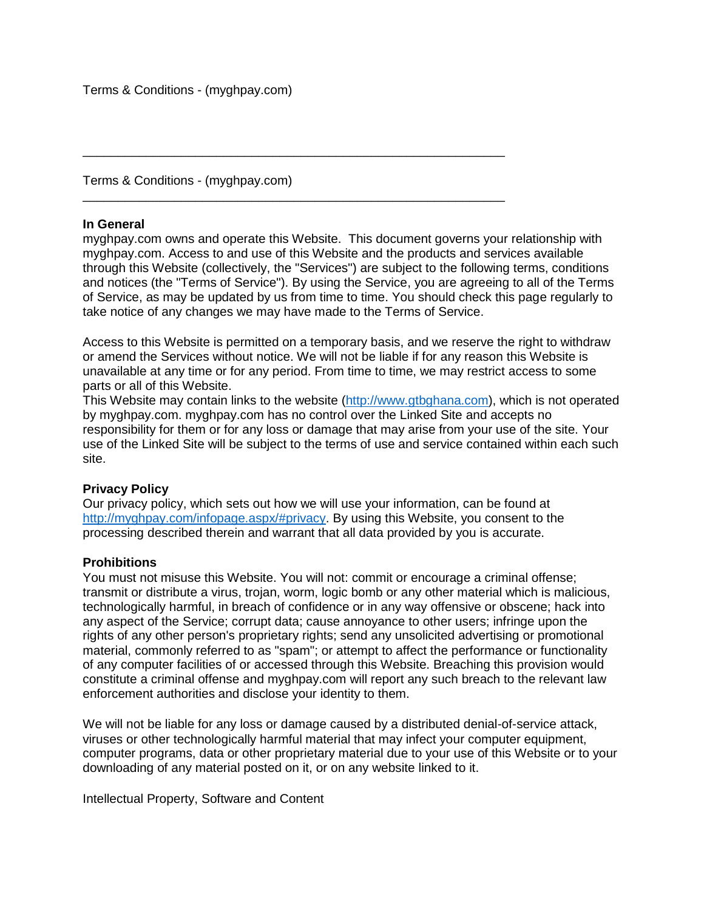Terms & Conditions - (myghpay.com)

### **In General**

myghpay.com owns and operate this Website. This document governs your relationship with myghpay.com. Access to and use of this Website and the products and services available through this Website (collectively, the "Services") are subject to the following terms, conditions and notices (the "Terms of Service"). By using the Service, you are agreeing to all of the Terms of Service, as may be updated by us from time to time. You should check this page regularly to take notice of any changes we may have made to the Terms of Service.

\_\_\_\_\_\_\_\_\_\_\_\_\_\_\_\_\_\_\_\_\_\_\_\_\_\_\_\_\_\_\_\_\_\_\_\_\_\_\_\_\_\_\_\_\_\_\_\_\_\_\_\_\_\_\_\_\_\_\_\_

\_\_\_\_\_\_\_\_\_\_\_\_\_\_\_\_\_\_\_\_\_\_\_\_\_\_\_\_\_\_\_\_\_\_\_\_\_\_\_\_\_\_\_\_\_\_\_\_\_\_\_\_\_\_\_\_\_\_\_\_

Access to this Website is permitted on a temporary basis, and we reserve the right to withdraw or amend the Services without notice. We will not be liable if for any reason this Website is unavailable at any time or for any period. From time to time, we may restrict access to some parts or all of this Website.

This Website may contain links to the website [\(http://www.gtbghana.com\)](http://www.gtbghana.com/), which is not operated by myghpay.com. myghpay.com has no control over the Linked Site and accepts no responsibility for them or for any loss or damage that may arise from your use of the site. Your use of the Linked Site will be subject to the terms of use and service contained within each such site.

## **Privacy Policy**

Our privacy policy, which sets out how we will use your information, can be found at [http://myghpay.com/infopage.aspx/#privacy.](http://myghpay.com/infopage.aspx/#privacy) By using this Website, you consent to the processing described therein and warrant that all data provided by you is accurate.

## **Prohibitions**

You must not misuse this Website. You will not: commit or encourage a criminal offense; transmit or distribute a virus, trojan, worm, logic bomb or any other material which is malicious, technologically harmful, in breach of confidence or in any way offensive or obscene; hack into any aspect of the Service; corrupt data; cause annoyance to other users; infringe upon the rights of any other person's proprietary rights; send any unsolicited advertising or promotional material, commonly referred to as "spam"; or attempt to affect the performance or functionality of any computer facilities of or accessed through this Website. Breaching this provision would constitute a criminal offense and myghpay.com will report any such breach to the relevant law enforcement authorities and disclose your identity to them.

We will not be liable for any loss or damage caused by a distributed denial-of-service attack, viruses or other technologically harmful material that may infect your computer equipment, computer programs, data or other proprietary material due to your use of this Website or to your downloading of any material posted on it, or on any website linked to it.

Intellectual Property, Software and Content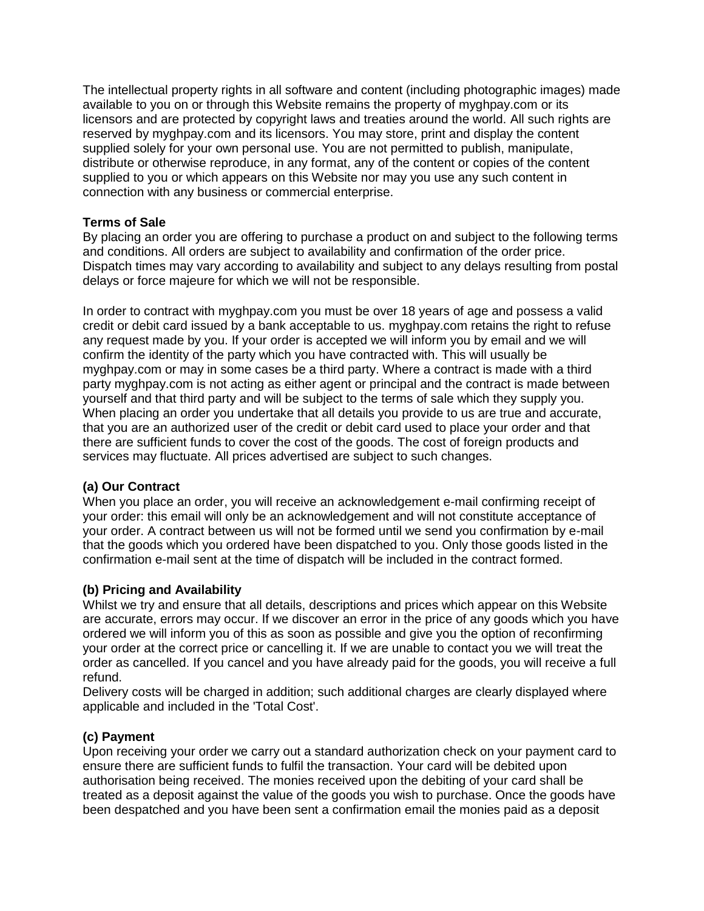The intellectual property rights in all software and content (including photographic images) made available to you on or through this Website remains the property of myghpay.com or its licensors and are protected by copyright laws and treaties around the world. All such rights are reserved by myghpay.com and its licensors. You may store, print and display the content supplied solely for your own personal use. You are not permitted to publish, manipulate, distribute or otherwise reproduce, in any format, any of the content or copies of the content supplied to you or which appears on this Website nor may you use any such content in connection with any business or commercial enterprise.

# **Terms of Sale**

By placing an order you are offering to purchase a product on and subject to the following terms and conditions. All orders are subject to availability and confirmation of the order price. Dispatch times may vary according to availability and subject to any delays resulting from postal delays or force majeure for which we will not be responsible.

In order to contract with myghpay.com you must be over 18 years of age and possess a valid credit or debit card issued by a bank acceptable to us. myghpay.com retains the right to refuse any request made by you. If your order is accepted we will inform you by email and we will confirm the identity of the party which you have contracted with. This will usually be myghpay.com or may in some cases be a third party. Where a contract is made with a third party myghpay.com is not acting as either agent or principal and the contract is made between yourself and that third party and will be subject to the terms of sale which they supply you. When placing an order you undertake that all details you provide to us are true and accurate, that you are an authorized user of the credit or debit card used to place your order and that there are sufficient funds to cover the cost of the goods. The cost of foreign products and services may fluctuate. All prices advertised are subject to such changes.

# **(a) Our Contract**

When you place an order, you will receive an acknowledgement e-mail confirming receipt of your order: this email will only be an acknowledgement and will not constitute acceptance of your order. A contract between us will not be formed until we send you confirmation by e-mail that the goods which you ordered have been dispatched to you. Only those goods listed in the confirmation e-mail sent at the time of dispatch will be included in the contract formed.

# **(b) Pricing and Availability**

Whilst we try and ensure that all details, descriptions and prices which appear on this Website are accurate, errors may occur. If we discover an error in the price of any goods which you have ordered we will inform you of this as soon as possible and give you the option of reconfirming your order at the correct price or cancelling it. If we are unable to contact you we will treat the order as cancelled. If you cancel and you have already paid for the goods, you will receive a full refund.

Delivery costs will be charged in addition; such additional charges are clearly displayed where applicable and included in the 'Total Cost'.

# **(c) Payment**

Upon receiving your order we carry out a standard authorization check on your payment card to ensure there are sufficient funds to fulfil the transaction. Your card will be debited upon authorisation being received. The monies received upon the debiting of your card shall be treated as a deposit against the value of the goods you wish to purchase. Once the goods have been despatched and you have been sent a confirmation email the monies paid as a deposit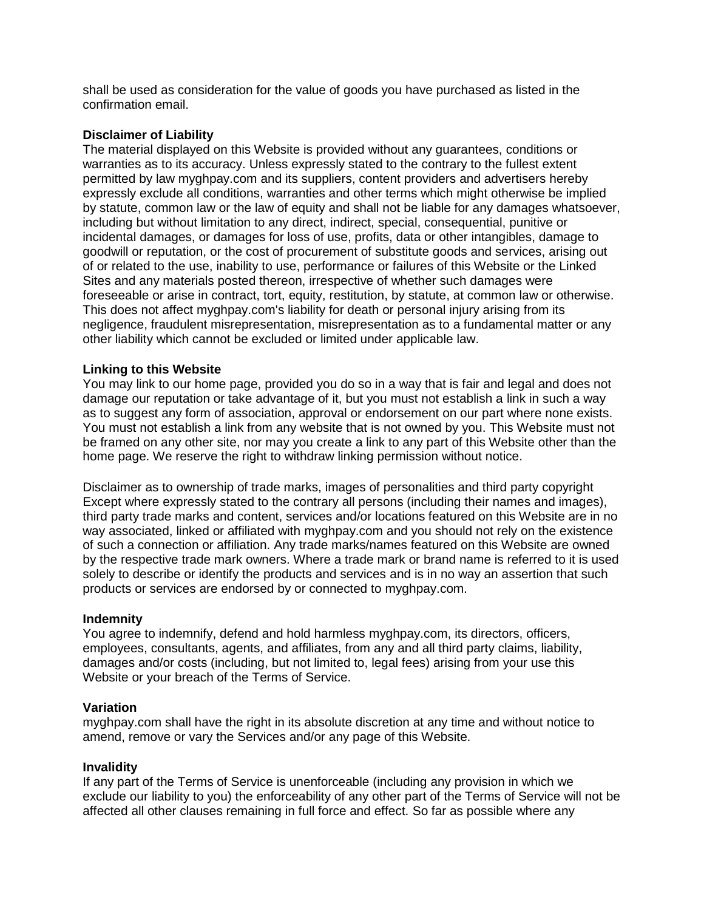shall be used as consideration for the value of goods you have purchased as listed in the confirmation email.

### **Disclaimer of Liability**

The material displayed on this Website is provided without any guarantees, conditions or warranties as to its accuracy. Unless expressly stated to the contrary to the fullest extent permitted by law myghpay.com and its suppliers, content providers and advertisers hereby expressly exclude all conditions, warranties and other terms which might otherwise be implied by statute, common law or the law of equity and shall not be liable for any damages whatsoever, including but without limitation to any direct, indirect, special, consequential, punitive or incidental damages, or damages for loss of use, profits, data or other intangibles, damage to goodwill or reputation, or the cost of procurement of substitute goods and services, arising out of or related to the use, inability to use, performance or failures of this Website or the Linked Sites and any materials posted thereon, irrespective of whether such damages were foreseeable or arise in contract, tort, equity, restitution, by statute, at common law or otherwise. This does not affect myghpay.com's liability for death or personal injury arising from its negligence, fraudulent misrepresentation, misrepresentation as to a fundamental matter or any other liability which cannot be excluded or limited under applicable law.

### **Linking to this Website**

You may link to our home page, provided you do so in a way that is fair and legal and does not damage our reputation or take advantage of it, but you must not establish a link in such a way as to suggest any form of association, approval or endorsement on our part where none exists. You must not establish a link from any website that is not owned by you. This Website must not be framed on any other site, nor may you create a link to any part of this Website other than the home page. We reserve the right to withdraw linking permission without notice.

Disclaimer as to ownership of trade marks, images of personalities and third party copyright Except where expressly stated to the contrary all persons (including their names and images), third party trade marks and content, services and/or locations featured on this Website are in no way associated, linked or affiliated with myghpay.com and you should not rely on the existence of such a connection or affiliation. Any trade marks/names featured on this Website are owned by the respective trade mark owners. Where a trade mark or brand name is referred to it is used solely to describe or identify the products and services and is in no way an assertion that such products or services are endorsed by or connected to myghpay.com.

#### **Indemnity**

You agree to indemnify, defend and hold harmless myghpay.com, its directors, officers, employees, consultants, agents, and affiliates, from any and all third party claims, liability, damages and/or costs (including, but not limited to, legal fees) arising from your use this Website or your breach of the Terms of Service.

#### **Variation**

myghpay.com shall have the right in its absolute discretion at any time and without notice to amend, remove or vary the Services and/or any page of this Website.

#### **Invalidity**

If any part of the Terms of Service is unenforceable (including any provision in which we exclude our liability to you) the enforceability of any other part of the Terms of Service will not be affected all other clauses remaining in full force and effect. So far as possible where any